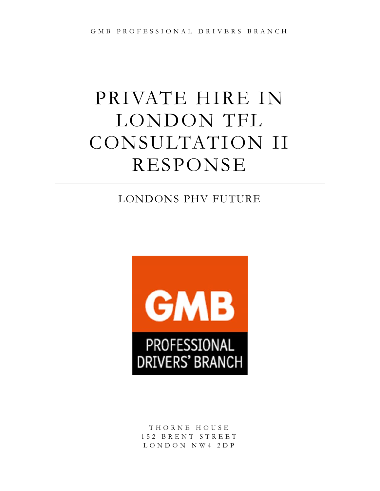# PRIVATE HIRE IN LONDON TFL CONSULTATION II RESPONSE

# LONDONS PHV FUTURE



T H O R N E H O U S E 1 5 2 B R E N T S T R E E T L O N D O N N W 4 2 D P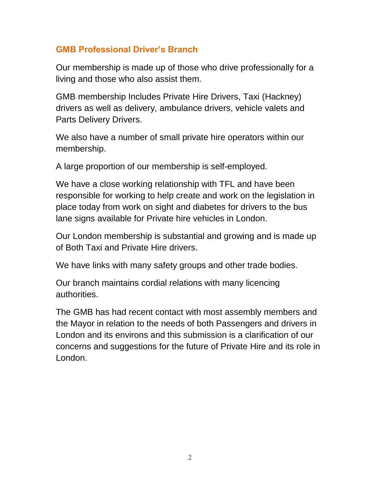# **GMB Professional Driver's Branch**

Our membership is made up of those who drive professionally for a living and those who also assist them.

GMB membership Includes Private Hire Drivers, Taxi (Hackney) drivers as well as delivery, ambulance drivers, vehicle valets and Parts Delivery Drivers.

We also have a number of small private hire operators within our membership.

A large proportion of our membership is self-employed.

We have a close working relationship with TFL and have been responsible for working to help create and work on the legislation in place today from work on sight and diabetes for drivers to the bus lane signs available for Private hire vehicles in London.

Our London membership is substantial and growing and is made up of Both Taxi and Private Hire drivers.

We have links with many safety groups and other trade bodies.

Our branch maintains cordial relations with many licencing authorities.

The GMB has had recent contact with most assembly members and the Mayor in relation to the needs of both Passengers and drivers in London and its environs and this submission is a clarification of our concerns and suggestions for the future of Private Hire and its role in London.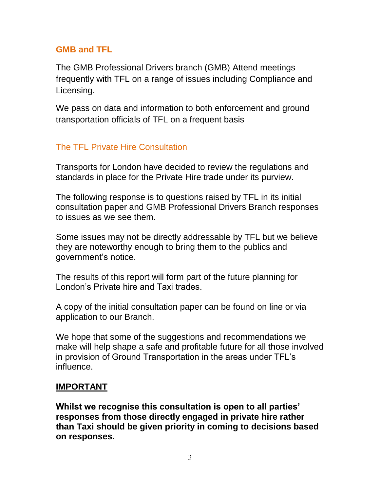# **GMB and TFL**

The GMB Professional Drivers branch (GMB) Attend meetings frequently with TFL on a range of issues including Compliance and Licensing.

We pass on data and information to both enforcement and ground transportation officials of TFL on a frequent basis

# The TFL Private Hire Consultation

Transports for London have decided to review the regulations and standards in place for the Private Hire trade under its purview.

The following response is to questions raised by TFL in its initial consultation paper and GMB Professional Drivers Branch responses to issues as we see them.

Some issues may not be directly addressable by TFL but we believe they are noteworthy enough to bring them to the publics and government's notice.

The results of this report will form part of the future planning for London's Private hire and Taxi trades.

A copy of the initial consultation paper can be found on line or via application to our Branch.

We hope that some of the suggestions and recommendations we make will help shape a safe and profitable future for all those involved in provision of Ground Transportation in the areas under TFL's influence.

# **IMPORTANT**

**Whilst we recognise this consultation is open to all parties' responses from those directly engaged in private hire rather than Taxi should be given priority in coming to decisions based on responses.**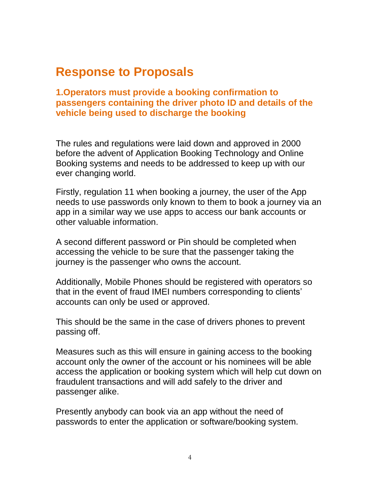# **Response to Proposals**

**1.Operators must provide a booking confirmation to passengers containing the driver photo ID and details of the vehicle being used to discharge the booking**

The rules and regulations were laid down and approved in 2000 before the advent of Application Booking Technology and Online Booking systems and needs to be addressed to keep up with our ever changing world.

Firstly, regulation 11 when booking a journey, the user of the App needs to use passwords only known to them to book a journey via an app in a similar way we use apps to access our bank accounts or other valuable information.

A second different password or Pin should be completed when accessing the vehicle to be sure that the passenger taking the journey is the passenger who owns the account.

Additionally, Mobile Phones should be registered with operators so that in the event of fraud IMEI numbers corresponding to clients' accounts can only be used or approved.

This should be the same in the case of drivers phones to prevent passing off.

Measures such as this will ensure in gaining access to the booking account only the owner of the account or his nominees will be able access the application or booking system which will help cut down on fraudulent transactions and will add safely to the driver and passenger alike.

Presently anybody can book via an app without the need of passwords to enter the application or software/booking system.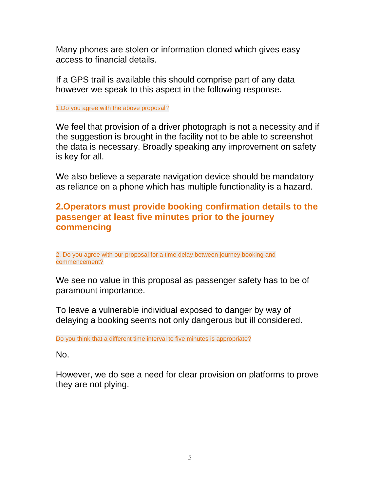Many phones are stolen or information cloned which gives easy access to financial details.

If a GPS trail is available this should comprise part of any data however we speak to this aspect in the following response.

#### 1.Do you agree with the above proposal?

We feel that provision of a driver photograph is not a necessity and if the suggestion is brought in the facility not to be able to screenshot the data is necessary. Broadly speaking any improvement on safety is key for all.

We also believe a separate navigation device should be mandatory as reliance on a phone which has multiple functionality is a hazard.

## **2.Operators must provide booking confirmation details to the passenger at least five minutes prior to the journey commencing**

2. Do you agree with our proposal for a time delay between journey booking and commencement?

We see no value in this proposal as passenger safety has to be of paramount importance.

To leave a vulnerable individual exposed to danger by way of delaying a booking seems not only dangerous but ill considered.

Do you think that a different time interval to five minutes is appropriate?

No.

However, we do see a need for clear provision on platforms to prove they are not plying.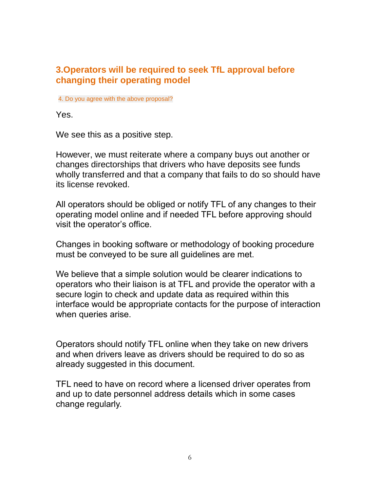## **3.Operators will be required to seek TfL approval before changing their operating model**

4. Do you agree with the above proposal?

Yes.

We see this as a positive step.

However, we must reiterate where a company buys out another or changes directorships that drivers who have deposits see funds wholly transferred and that a company that fails to do so should have its license revoked.

All operators should be obliged or notify TFL of any changes to their operating model online and if needed TFL before approving should visit the operator's office.

Changes in booking software or methodology of booking procedure must be conveyed to be sure all guidelines are met.

We believe that a simple solution would be clearer indications to operators who their liaison is at TFL and provide the operator with a secure login to check and update data as required within this interface would be appropriate contacts for the purpose of interaction when queries arise.

Operators should notify TFL online when they take on new drivers and when drivers leave as drivers should be required to do so as already suggested in this document.

TFL need to have on record where a licensed driver operates from and up to date personnel address details which in some cases change regularly.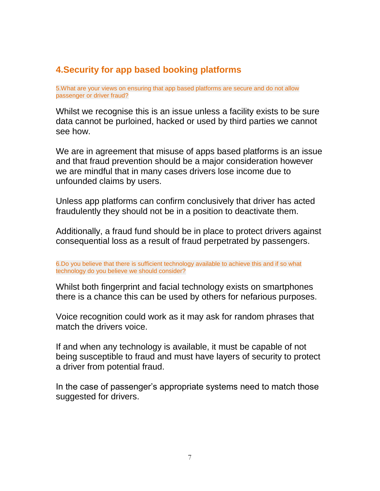# **4.Security for app based booking platforms**

5.What are your views on ensuring that app based platforms are secure and do not allow passenger or driver fraud?

Whilst we recognise this is an issue unless a facility exists to be sure data cannot be purloined, hacked or used by third parties we cannot see how.

We are in agreement that misuse of apps based platforms is an issue and that fraud prevention should be a major consideration however we are mindful that in many cases drivers lose income due to unfounded claims by users.

Unless app platforms can confirm conclusively that driver has acted fraudulently they should not be in a position to deactivate them.

Additionally, a fraud fund should be in place to protect drivers against consequential loss as a result of fraud perpetrated by passengers.

6.Do you believe that there is sufficient technology available to achieve this and if so what technology do you believe we should consider?

Whilst both fingerprint and facial technology exists on smartphones there is a chance this can be used by others for nefarious purposes.

Voice recognition could work as it may ask for random phrases that match the drivers voice.

If and when any technology is available, it must be capable of not being susceptible to fraud and must have layers of security to protect a driver from potential fraud.

In the case of passenger's appropriate systems need to match those suggested for drivers.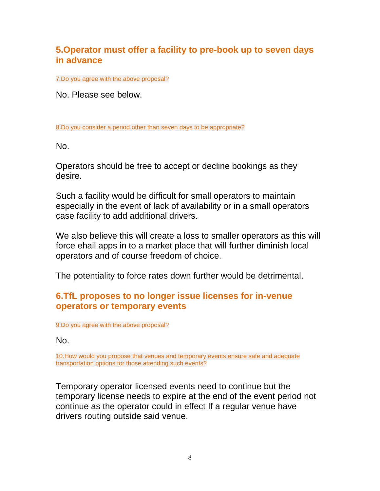# **5.Operator must offer a facility to pre-book up to seven days in advance**

7.Do you agree with the above proposal?

No. Please see below.

8.Do you consider a period other than seven days to be appropriate?

No.

Operators should be free to accept or decline bookings as they desire.

Such a facility would be difficult for small operators to maintain especially in the event of lack of availability or in a small operators case facility to add additional drivers.

We also believe this will create a loss to smaller operators as this will force ehail apps in to a market place that will further diminish local operators and of course freedom of choice.

The potentiality to force rates down further would be detrimental.

## **6.TfL proposes to no longer issue licenses for in-venue operators or temporary events**

9.Do you agree with the above proposal?

No.

10.How would you propose that venues and temporary events ensure safe and adequate transportation options for those attending such events?

Temporary operator licensed events need to continue but the temporary license needs to expire at the end of the event period not continue as the operator could in effect If a regular venue have drivers routing outside said venue.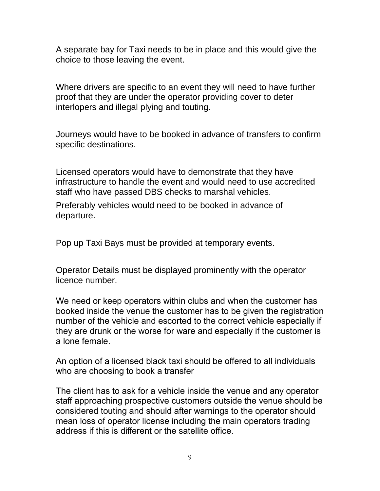A separate bay for Taxi needs to be in place and this would give the choice to those leaving the event.

Where drivers are specific to an event they will need to have further proof that they are under the operator providing cover to deter interlopers and illegal plying and touting.

Journeys would have to be booked in advance of transfers to confirm specific destinations.

Licensed operators would have to demonstrate that they have infrastructure to handle the event and would need to use accredited staff who have passed DBS checks to marshal vehicles.

Preferably vehicles would need to be booked in advance of departure.

Pop up Taxi Bays must be provided at temporary events.

Operator Details must be displayed prominently with the operator licence number.

We need or keep operators within clubs and when the customer has booked inside the venue the customer has to be given the registration number of the vehicle and escorted to the correct vehicle especially if they are drunk or the worse for ware and especially if the customer is a lone female.

An option of a licensed black taxi should be offered to all individuals who are choosing to book a transfer

The client has to ask for a vehicle inside the venue and any operator staff approaching prospective customers outside the venue should be considered touting and should after warnings to the operator should mean loss of operator license including the main operators trading address if this is different or the satellite office.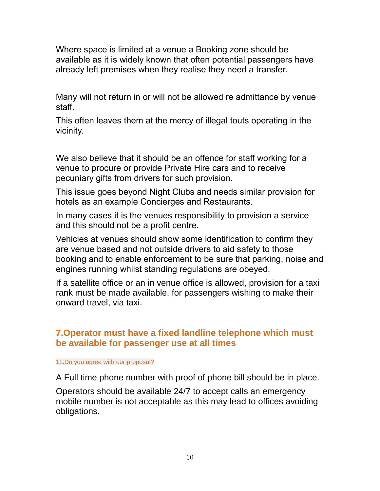Where space is limited at a venue a Booking zone should be available as it is widely known that often potential passengers have already left premises when they realise they need a transfer.

Many will not return in or will not be allowed re admittance by venue staff.

This often leaves them at the mercy of illegal touts operating in the vicinity.

We also believe that it should be an offence for staff working for a venue to procure or provide Private Hire cars and to receive pecuniary gifts from drivers for such provision.

This issue goes beyond Night Clubs and needs similar provision for hotels as an example Concierges and Restaurants.

In many cases it is the venues responsibility to provision a service and this should not be a profit centre.

Vehicles at venues should show some identification to confirm they are venue based and not outside drivers to aid safety to those booking and to enable enforcement to be sure that parking, noise and engines running whilst standing regulations are obeyed.

If a satellite office or an in venue office is allowed, provision for a taxi rank must be made available, for passengers wishing to make their onward travel, via taxi.

# **7.Operator must have a fixed landline telephone which must be available for passenger use at all times**

#### 11.Do you agree with our proposal?

A Full time phone number with proof of phone bill should be in place.

Operators should be available 24/7 to accept calls an emergency mobile number is not acceptable as this may lead to offices avoiding obligations.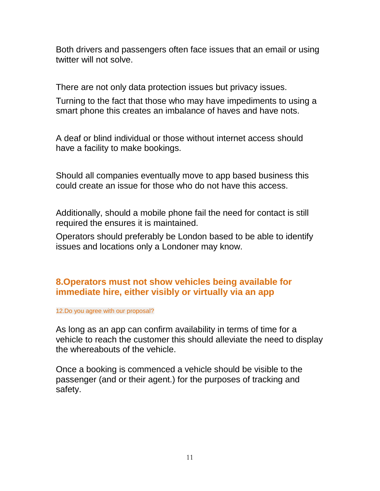Both drivers and passengers often face issues that an email or using twitter will not solve.

There are not only data protection issues but privacy issues.

Turning to the fact that those who may have impediments to using a smart phone this creates an imbalance of haves and have nots.

A deaf or blind individual or those without internet access should have a facility to make bookings.

Should all companies eventually move to app based business this could create an issue for those who do not have this access.

Additionally, should a mobile phone fail the need for contact is still required the ensures it is maintained.

Operators should preferably be London based to be able to identify issues and locations only a Londoner may know.

# **8.Operators must not show vehicles being available for immediate hire, either visibly or virtually via an app**

12.Do you agree with our proposal?

As long as an app can confirm availability in terms of time for a vehicle to reach the customer this should alleviate the need to display the whereabouts of the vehicle.

Once a booking is commenced a vehicle should be visible to the passenger (and or their agent.) for the purposes of tracking and safety.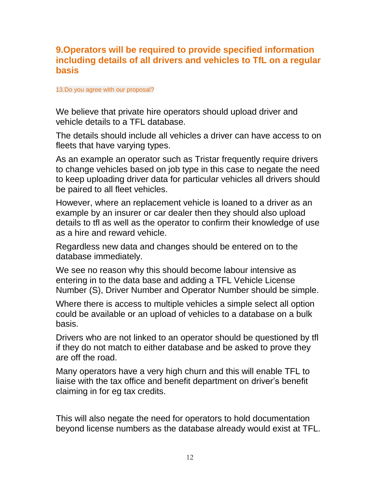## **9.Operators will be required to provide specified information including details of all drivers and vehicles to TfL on a regular basis**

#### 13.Do you agree with our proposal?

We believe that private hire operators should upload driver and vehicle details to a TFL database.

The details should include all vehicles a driver can have access to on fleets that have varying types.

As an example an operator such as Tristar frequently require drivers to change vehicles based on job type in this case to negate the need to keep uploading driver data for particular vehicles all drivers should be paired to all fleet vehicles.

However, where an replacement vehicle is loaned to a driver as an example by an insurer or car dealer then they should also upload details to tfl as well as the operator to confirm their knowledge of use as a hire and reward vehicle.

Regardless new data and changes should be entered on to the database immediately.

We see no reason why this should become labour intensive as entering in to the data base and adding a TFL Vehicle License Number (S), Driver Number and Operator Number should be simple.

Where there is access to multiple vehicles a simple select all option could be available or an upload of vehicles to a database on a bulk basis.

Drivers who are not linked to an operator should be questioned by tfl if they do not match to either database and be asked to prove they are off the road.

Many operators have a very high churn and this will enable TFL to liaise with the tax office and benefit department on driver's benefit claiming in for eg tax credits.

This will also negate the need for operators to hold documentation beyond license numbers as the database already would exist at TFL.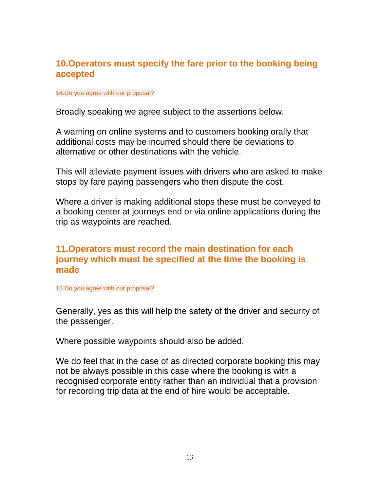#### **10.Operators must specify the fare prior to the booking being accepted**

#### 14.Do you agree with our proposal?

Broadly speaking we agree subject to the assertions below.

A warning on online systems and to customers booking orally that additional costs may be incurred should there be deviations to alternative or other destinations with the vehicle.

This will alleviate payment issues with drivers who are asked to make stops by fare paying passengers who then dispute the cost.

Where a driver is making additional stops these must be conveyed to a booking center at journeys end or via online applications during the trip as waypoints are reached.

## **11.Operators must record the main destination for each journey which must be specified at the time the booking is made**

15.Do you agree with our proposal?

Generally, yes as this will help the safety of the driver and security of the passenger.

Where possible waypoints should also be added.

We do feel that in the case of as directed corporate booking this may not be always possible in this case where the booking is with a recognised corporate entity rather than an individual that a provision for recording trip data at the end of hire would be acceptable.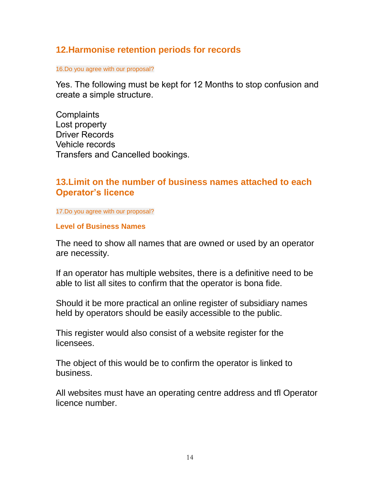## **12.Harmonise retention periods for records**

16.Do you agree with our proposal?

Yes. The following must be kept for 12 Months to stop confusion and create a simple structure.

**Complaints** Lost property Driver Records Vehicle records Transfers and Cancelled bookings.

# **13.Limit on the number of business names attached to each Operator's licence**

17.Do you agree with our proposal?

#### **Level of Business Names**

The need to show all names that are owned or used by an operator are necessity.

If an operator has multiple websites, there is a definitive need to be able to list all sites to confirm that the operator is bona fide.

Should it be more practical an online register of subsidiary names held by operators should be easily accessible to the public.

This register would also consist of a website register for the licensees.

The object of this would be to confirm the operator is linked to business.

All websites must have an operating centre address and tfl Operator licence number.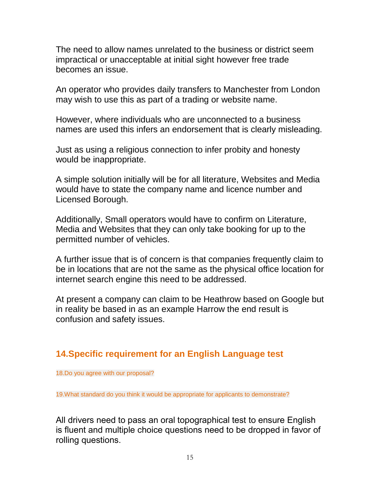The need to allow names unrelated to the business or district seem impractical or unacceptable at initial sight however free trade becomes an issue.

An operator who provides daily transfers to Manchester from London may wish to use this as part of a trading or website name.

However, where individuals who are unconnected to a business names are used this infers an endorsement that is clearly misleading.

Just as using a religious connection to infer probity and honesty would be inappropriate.

A simple solution initially will be for all literature, Websites and Media would have to state the company name and licence number and Licensed Borough.

Additionally, Small operators would have to confirm on Literature, Media and Websites that they can only take booking for up to the permitted number of vehicles.

A further issue that is of concern is that companies frequently claim to be in locations that are not the same as the physical office location for internet search engine this need to be addressed.

At present a company can claim to be Heathrow based on Google but in reality be based in as an example Harrow the end result is confusion and safety issues.

# **14.Specific requirement for an English Language test**

18.Do you agree with our proposal?

19.What standard do you think it would be appropriate for applicants to demonstrate?

All drivers need to pass an oral topographical test to ensure English is fluent and multiple choice questions need to be dropped in favor of rolling questions.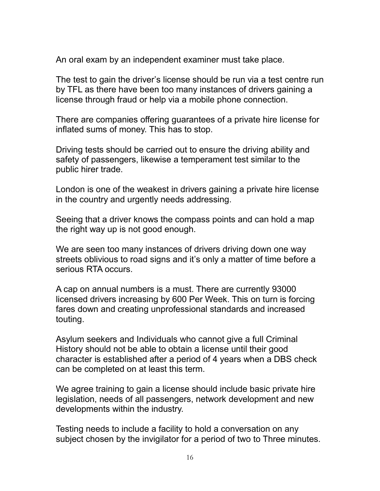An oral exam by an independent examiner must take place.

The test to gain the driver's license should be run via a test centre run by TFL as there have been too many instances of drivers gaining a license through fraud or help via a mobile phone connection.

There are companies offering guarantees of a private hire license for inflated sums of money. This has to stop.

Driving tests should be carried out to ensure the driving ability and safety of passengers, likewise a temperament test similar to the public hirer trade.

London is one of the weakest in drivers gaining a private hire license in the country and urgently needs addressing.

Seeing that a driver knows the compass points and can hold a map the right way up is not good enough.

We are seen too many instances of drivers driving down one way streets oblivious to road signs and it's only a matter of time before a serious RTA occurs.

A cap on annual numbers is a must. There are currently 93000 licensed drivers increasing by 600 Per Week. This on turn is forcing fares down and creating unprofessional standards and increased touting.

Asylum seekers and Individuals who cannot give a full Criminal History should not be able to obtain a license until their good character is established after a period of 4 years when a DBS check can be completed on at least this term.

We agree training to gain a license should include basic private hire legislation, needs of all passengers, network development and new developments within the industry.

Testing needs to include a facility to hold a conversation on any subject chosen by the invigilator for a period of two to Three minutes.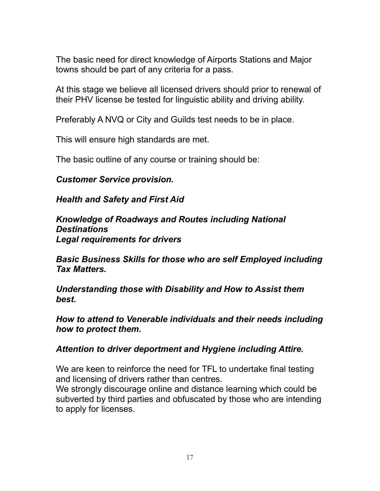The basic need for direct knowledge of Airports Stations and Major towns should be part of any criteria for a pass.

At this stage we believe all licensed drivers should prior to renewal of their PHV license be tested for linguistic ability and driving ability.

Preferably A NVQ or City and Guilds test needs to be in place.

This will ensure high standards are met.

The basic outline of any course or training should be:

#### *Customer Service provision.*

*Health and Safety and First Aid*

*Knowledge of Roadways and Routes including National Destinations Legal requirements for drivers*

*Basic Business Skills for those who are self Employed including Tax Matters.*

*Understanding those with Disability and How to Assist them best.*

*How to attend to Venerable individuals and their needs including how to protect them.* 

#### *Attention to driver deportment and Hygiene including Attire.*

We are keen to reinforce the need for TFL to undertake final testing and licensing of drivers rather than centres.

We strongly discourage online and distance learning which could be subverted by third parties and obfuscated by those who are intending to apply for licenses.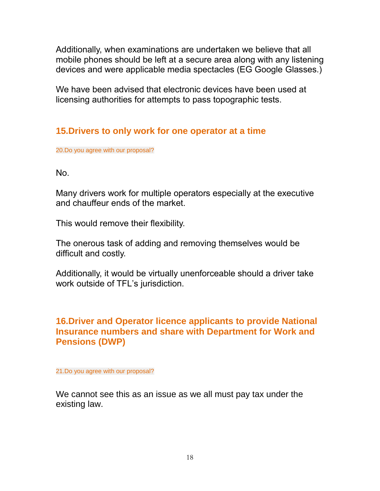Additionally, when examinations are undertaken we believe that all mobile phones should be left at a secure area along with any listening devices and were applicable media spectacles (EG Google Glasses.)

We have been advised that electronic devices have been used at licensing authorities for attempts to pass topographic tests.

# **15.Drivers to only work for one operator at a time**

20.Do you agree with our proposal?

No.

Many drivers work for multiple operators especially at the executive and chauffeur ends of the market.

This would remove their flexibility.

The onerous task of adding and removing themselves would be difficult and costly.

Additionally, it would be virtually unenforceable should a driver take work outside of TFL's jurisdiction.

# **16.Driver and Operator licence applicants to provide National Insurance numbers and share with Department for Work and Pensions (DWP)**

21.Do you agree with our proposal?

We cannot see this as an issue as we all must pay tax under the existing law.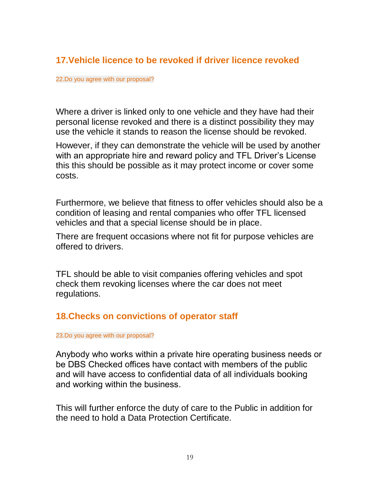# **17.Vehicle licence to be revoked if driver licence revoked**

#### 22.Do you agree with our proposal?

Where a driver is linked only to one vehicle and they have had their personal license revoked and there is a distinct possibility they may use the vehicle it stands to reason the license should be revoked.

However, if they can demonstrate the vehicle will be used by another with an appropriate hire and reward policy and TFL Driver's License this this should be possible as it may protect income or cover some costs.

Furthermore, we believe that fitness to offer vehicles should also be a condition of leasing and rental companies who offer TFL licensed vehicles and that a special license should be in place.

There are frequent occasions where not fit for purpose vehicles are offered to drivers.

TFL should be able to visit companies offering vehicles and spot check them revoking licenses where the car does not meet regulations.

#### **18.Checks on convictions of operator staff**

#### 23.Do you agree with our proposal?

Anybody who works within a private hire operating business needs or be DBS Checked offices have contact with members of the public and will have access to confidential data of all individuals booking and working within the business.

This will further enforce the duty of care to the Public in addition for the need to hold a Data Protection Certificate.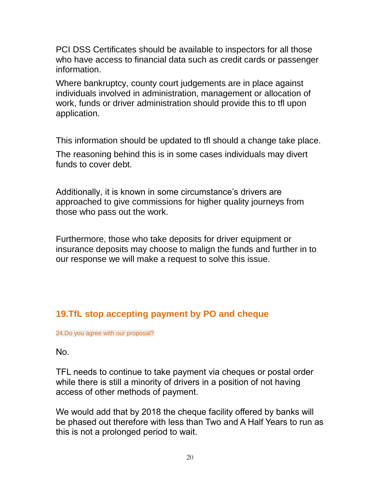PCI DSS Certificates should be available to inspectors for all those who have access to financial data such as credit cards or passenger information.

Where bankruptcy, county court judgements are in place against individuals involved in administration, management or allocation of work, funds or driver administration should provide this to tfl upon application.

This information should be updated to tfl should a change take place.

The reasoning behind this is in some cases individuals may divert funds to cover debt.

Additionally, it is known in some circumstance's drivers are approached to give commissions for higher quality journeys from those who pass out the work.

Furthermore, those who take deposits for driver equipment or insurance deposits may choose to malign the funds and further in to our response we will make a request to solve this issue.

# **19.TfL stop accepting payment by PO and cheque**

24.Do you agree with our proposal?

No.

TFL needs to continue to take payment via cheques or postal order while there is still a minority of drivers in a position of not having access of other methods of payment.

We would add that by 2018 the cheque facility offered by banks will be phased out therefore with less than Two and A Half Years to run as this is not a prolonged period to wait.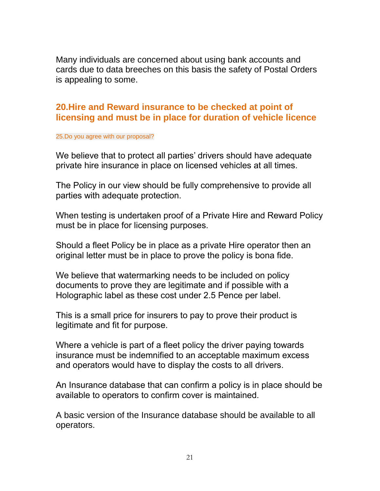Many individuals are concerned about using bank accounts and cards due to data breeches on this basis the safety of Postal Orders is appealing to some.

# **20.Hire and Reward insurance to be checked at point of licensing and must be in place for duration of vehicle licence**

#### 25.Do you agree with our proposal?

We believe that to protect all parties' drivers should have adequate private hire insurance in place on licensed vehicles at all times.

The Policy in our view should be fully comprehensive to provide all parties with adequate protection.

When testing is undertaken proof of a Private Hire and Reward Policy must be in place for licensing purposes.

Should a fleet Policy be in place as a private Hire operator then an original letter must be in place to prove the policy is bona fide.

We believe that watermarking needs to be included on policy documents to prove they are legitimate and if possible with a Holographic label as these cost under 2.5 Pence per label.

This is a small price for insurers to pay to prove their product is legitimate and fit for purpose.

Where a vehicle is part of a fleet policy the driver paying towards insurance must be indemnified to an acceptable maximum excess and operators would have to display the costs to all drivers.

An Insurance database that can confirm a policy is in place should be available to operators to confirm cover is maintained.

A basic version of the Insurance database should be available to all operators.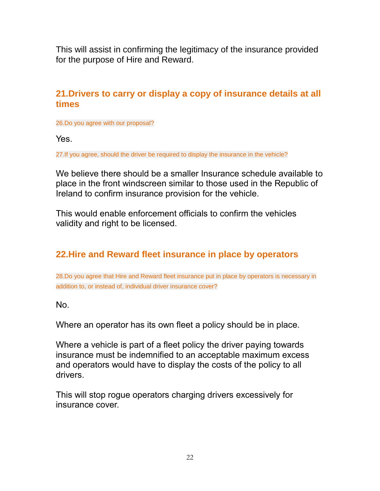This will assist in confirming the legitimacy of the insurance provided for the purpose of Hire and Reward.

# **21.Drivers to carry or display a copy of insurance details at all times**

26.Do you agree with our proposal?

Yes.

27.If you agree, should the driver be required to display the insurance in the vehicle?

We believe there should be a smaller Insurance schedule available to place in the front windscreen similar to those used in the Republic of Ireland to confirm insurance provision for the vehicle.

This would enable enforcement officials to confirm the vehicles validity and right to be licensed.

# **22.Hire and Reward fleet insurance in place by operators**

28.Do you agree that Hire and Reward fleet insurance put in place by operators is necessary in addition to, or instead of, individual driver insurance cover?

No.

Where an operator has its own fleet a policy should be in place.

Where a vehicle is part of a fleet policy the driver paying towards insurance must be indemnified to an acceptable maximum excess and operators would have to display the costs of the policy to all drivers.

This will stop rogue operators charging drivers excessively for insurance cover.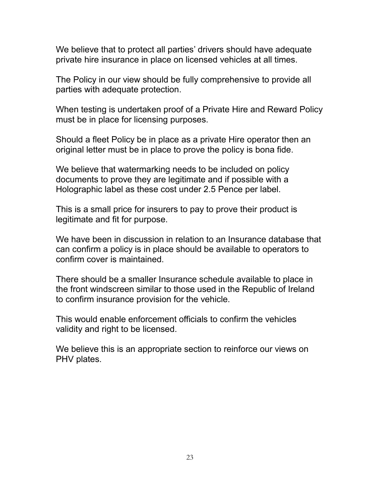We believe that to protect all parties' drivers should have adequate private hire insurance in place on licensed vehicles at all times.

The Policy in our view should be fully comprehensive to provide all parties with adequate protection.

When testing is undertaken proof of a Private Hire and Reward Policy must be in place for licensing purposes.

Should a fleet Policy be in place as a private Hire operator then an original letter must be in place to prove the policy is bona fide.

We believe that watermarking needs to be included on policy documents to prove they are legitimate and if possible with a Holographic label as these cost under 2.5 Pence per label.

This is a small price for insurers to pay to prove their product is legitimate and fit for purpose.

We have been in discussion in relation to an Insurance database that can confirm a policy is in place should be available to operators to confirm cover is maintained.

There should be a smaller Insurance schedule available to place in the front windscreen similar to those used in the Republic of Ireland to confirm insurance provision for the vehicle.

This would enable enforcement officials to confirm the vehicles validity and right to be licensed.

We believe this is an appropriate section to reinforce our views on PHV plates.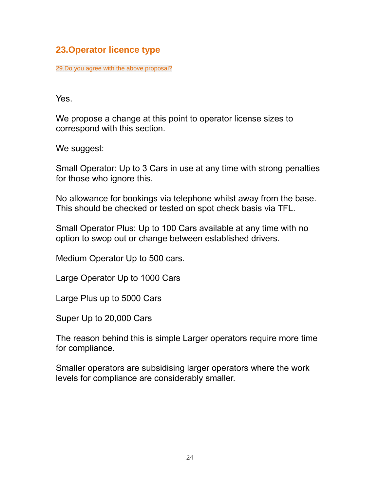# **23.Operator licence type**

29.Do you agree with the above proposal?

Yes.

We propose a change at this point to operator license sizes to correspond with this section.

We suggest:

Small Operator: Up to 3 Cars in use at any time with strong penalties for those who ignore this.

No allowance for bookings via telephone whilst away from the base. This should be checked or tested on spot check basis via TFL.

Small Operator Plus: Up to 100 Cars available at any time with no option to swop out or change between established drivers.

Medium Operator Up to 500 cars.

Large Operator Up to 1000 Cars

Large Plus up to 5000 Cars

Super Up to 20,000 Cars

The reason behind this is simple Larger operators require more time for compliance.

Smaller operators are subsidising larger operators where the work levels for compliance are considerably smaller.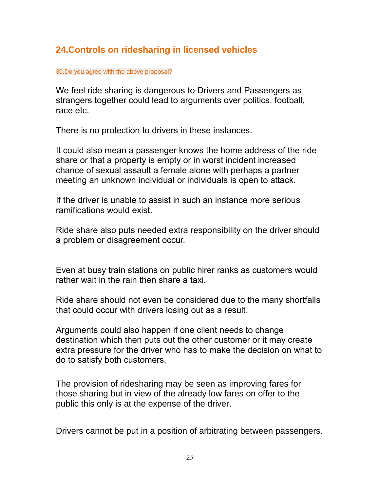# **24.Controls on ridesharing in licensed vehicles**

30.Do you agree with the above proposal?

We feel ride sharing is dangerous to Drivers and Passengers as strangers together could lead to arguments over politics, football, race etc.

There is no protection to drivers in these instances.

It could also mean a passenger knows the home address of the ride share or that a property is empty or in worst incident increased chance of sexual assault a female alone with perhaps a partner meeting an unknown individual or individuals is open to attack.

If the driver is unable to assist in such an instance more serious ramifications would exist.

Ride share also puts needed extra responsibility on the driver should a problem or disagreement occur.

Even at busy train stations on public hirer ranks as customers would rather wait in the rain then share a taxi.

Ride share should not even be considered due to the many shortfalls that could occur with drivers losing out as a result.

Arguments could also happen if one client needs to change destination which then puts out the other customer or it may create extra pressure for the driver who has to make the decision on what to do to satisfy both customers,

The provision of ridesharing may be seen as improving fares for those sharing but in view of the already low fares on offer to the public this only is at the expense of the driver.

Drivers cannot be put in a position of arbitrating between passengers.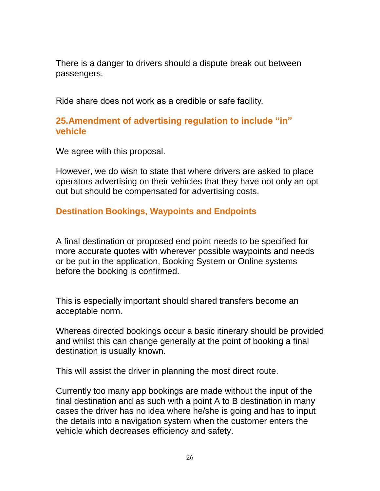There is a danger to drivers should a dispute break out between passengers.

Ride share does not work as a credible or safe facility.

#### **25.Amendment of advertising regulation to include "in" vehicle**

We agree with this proposal.

However, we do wish to state that where drivers are asked to place operators advertising on their vehicles that they have not only an opt out but should be compensated for advertising costs.

#### **Destination Bookings, Waypoints and Endpoints**

A final destination or proposed end point needs to be specified for more accurate quotes with wherever possible waypoints and needs or be put in the application, Booking System or Online systems before the booking is confirmed.

This is especially important should shared transfers become an acceptable norm.

Whereas directed bookings occur a basic itinerary should be provided and whilst this can change generally at the point of booking a final destination is usually known.

This will assist the driver in planning the most direct route.

Currently too many app bookings are made without the input of the final destination and as such with a point A to B destination in many cases the driver has no idea where he/she is going and has to input the details into a navigation system when the customer enters the vehicle which decreases efficiency and safety.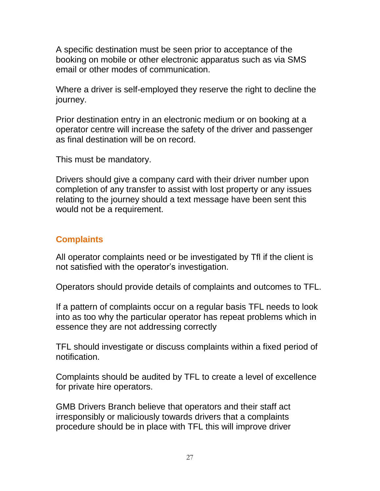A specific destination must be seen prior to acceptance of the booking on mobile or other electronic apparatus such as via SMS email or other modes of communication.

Where a driver is self-employed they reserve the right to decline the journey.

Prior destination entry in an electronic medium or on booking at a operator centre will increase the safety of the driver and passenger as final destination will be on record.

This must be mandatory.

Drivers should give a company card with their driver number upon completion of any transfer to assist with lost property or any issues relating to the journey should a text message have been sent this would not be a requirement.

# **Complaints**

All operator complaints need or be investigated by Tfl if the client is not satisfied with the operator's investigation.

Operators should provide details of complaints and outcomes to TFL.

If a pattern of complaints occur on a regular basis TFL needs to look into as too why the particular operator has repeat problems which in essence they are not addressing correctly

TFL should investigate or discuss complaints within a fixed period of notification.

Complaints should be audited by TFL to create a level of excellence for private hire operators.

GMB Drivers Branch believe that operators and their staff act irresponsibly or maliciously towards drivers that a complaints procedure should be in place with TFL this will improve driver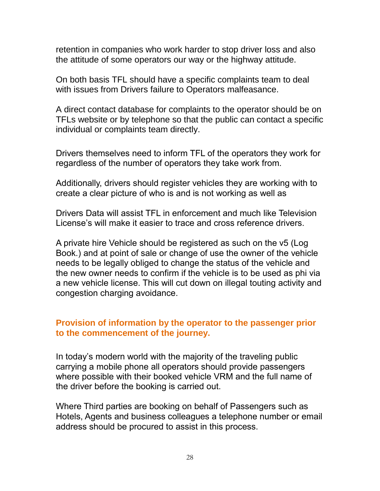retention in companies who work harder to stop driver loss and also the attitude of some operators our way or the highway attitude.

On both basis TFL should have a specific complaints team to deal with issues from Drivers failure to Operators malfeasance.

A direct contact database for complaints to the operator should be on TFLs website or by telephone so that the public can contact a specific individual or complaints team directly.

Drivers themselves need to inform TFL of the operators they work for regardless of the number of operators they take work from.

Additionally, drivers should register vehicles they are working with to create a clear picture of who is and is not working as well as

Drivers Data will assist TFL in enforcement and much like Television License's will make it easier to trace and cross reference drivers.

A private hire Vehicle should be registered as such on the v5 (Log Book.) and at point of sale or change of use the owner of the vehicle needs to be legally obliged to change the status of the vehicle and the new owner needs to confirm if the vehicle is to be used as phi via a new vehicle license. This will cut down on illegal touting activity and congestion charging avoidance.

#### **Provision of information by the operator to the passenger prior to the commencement of the journey.**

In today's modern world with the majority of the traveling public carrying a mobile phone all operators should provide passengers where possible with their booked vehicle VRM and the full name of the driver before the booking is carried out.

Where Third parties are booking on behalf of Passengers such as Hotels, Agents and business colleagues a telephone number or email address should be procured to assist in this process.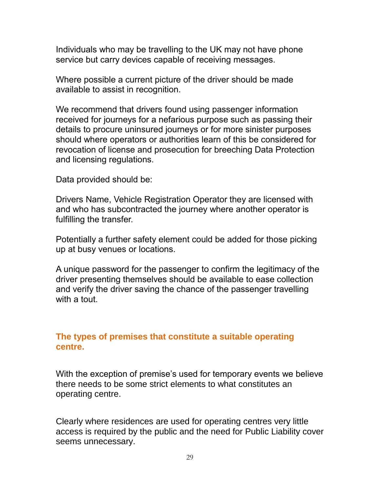Individuals who may be travelling to the UK may not have phone service but carry devices capable of receiving messages.

Where possible a current picture of the driver should be made available to assist in recognition.

We recommend that drivers found using passenger information received for journeys for a nefarious purpose such as passing their details to procure uninsured journeys or for more sinister purposes should where operators or authorities learn of this be considered for revocation of license and prosecution for breeching Data Protection and licensing regulations.

Data provided should be:

Drivers Name, Vehicle Registration Operator they are licensed with and who has subcontracted the journey where another operator is fulfilling the transfer.

Potentially a further safety element could be added for those picking up at busy venues or locations.

A unique password for the passenger to confirm the legitimacy of the driver presenting themselves should be available to ease collection and verify the driver saving the chance of the passenger travelling with a tout.

#### **The types of premises that constitute a suitable operating centre.**

With the exception of premise's used for temporary events we believe there needs to be some strict elements to what constitutes an operating centre.

Clearly where residences are used for operating centres very little access is required by the public and the need for Public Liability cover seems unnecessary.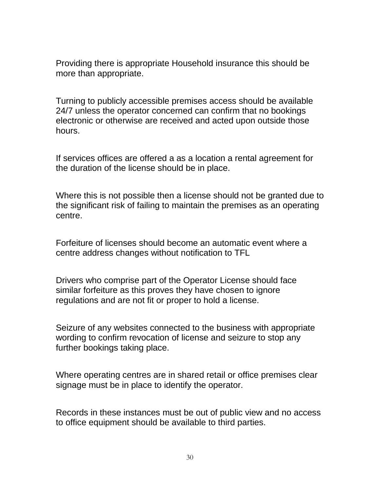Providing there is appropriate Household insurance this should be more than appropriate.

Turning to publicly accessible premises access should be available 24/7 unless the operator concerned can confirm that no bookings electronic or otherwise are received and acted upon outside those hours.

If services offices are offered a as a location a rental agreement for the duration of the license should be in place.

Where this is not possible then a license should not be granted due to the significant risk of failing to maintain the premises as an operating centre.

Forfeiture of licenses should become an automatic event where a centre address changes without notification to TFL

Drivers who comprise part of the Operator License should face similar forfeiture as this proves they have chosen to ignore regulations and are not fit or proper to hold a license.

Seizure of any websites connected to the business with appropriate wording to confirm revocation of license and seizure to stop any further bookings taking place.

Where operating centres are in shared retail or office premises clear signage must be in place to identify the operator.

Records in these instances must be out of public view and no access to office equipment should be available to third parties.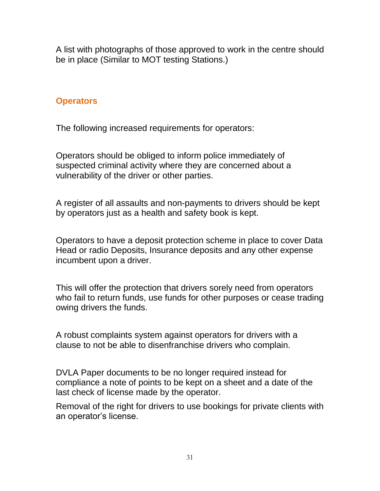A list with photographs of those approved to work in the centre should be in place (Similar to MOT testing Stations.)

## **Operators**

The following increased requirements for operators:

Operators should be obliged to inform police immediately of suspected criminal activity where they are concerned about a vulnerability of the driver or other parties.

A register of all assaults and non-payments to drivers should be kept by operators just as a health and safety book is kept.

Operators to have a deposit protection scheme in place to cover Data Head or radio Deposits, Insurance deposits and any other expense incumbent upon a driver.

This will offer the protection that drivers sorely need from operators who fail to return funds, use funds for other purposes or cease trading owing drivers the funds.

A robust complaints system against operators for drivers with a clause to not be able to disenfranchise drivers who complain.

DVLA Paper documents to be no longer required instead for compliance a note of points to be kept on a sheet and a date of the last check of license made by the operator.

Removal of the right for drivers to use bookings for private clients with an operator's license.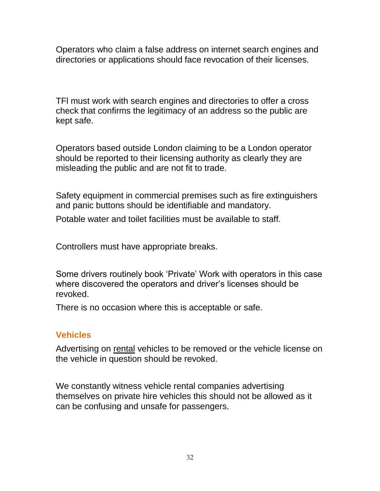Operators who claim a false address on internet search engines and directories or applications should face revocation of their licenses.

TFl must work with search engines and directories to offer a cross check that confirms the legitimacy of an address so the public are kept safe.

Operators based outside London claiming to be a London operator should be reported to their licensing authority as clearly they are misleading the public and are not fit to trade.

Safety equipment in commercial premises such as fire extinguishers and panic buttons should be identifiable and mandatory.

Potable water and toilet facilities must be available to staff.

Controllers must have appropriate breaks.

Some drivers routinely book 'Private' Work with operators in this case where discovered the operators and driver's licenses should be revoked.

There is no occasion where this is acceptable or safe.

# **Vehicles**

Advertising on rental vehicles to be removed or the vehicle license on the vehicle in question should be revoked.

We constantly witness vehicle rental companies advertising themselves on private hire vehicles this should not be allowed as it can be confusing and unsafe for passengers.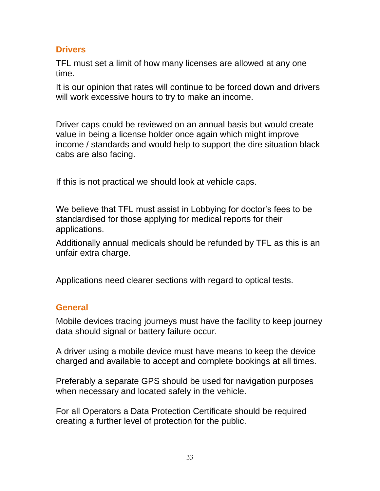#### **Drivers**

TFL must set a limit of how many licenses are allowed at any one time.

It is our opinion that rates will continue to be forced down and drivers will work excessive hours to try to make an income.

Driver caps could be reviewed on an annual basis but would create value in being a license holder once again which might improve income / standards and would help to support the dire situation black cabs are also facing.

If this is not practical we should look at vehicle caps.

We believe that TFL must assist in Lobbying for doctor's fees to be standardised for those applying for medical reports for their applications.

Additionally annual medicals should be refunded by TFL as this is an unfair extra charge.

Applications need clearer sections with regard to optical tests.

#### **General**

Mobile devices tracing journeys must have the facility to keep journey data should signal or battery failure occur.

A driver using a mobile device must have means to keep the device charged and available to accept and complete bookings at all times.

Preferably a separate GPS should be used for navigation purposes when necessary and located safely in the vehicle.

For all Operators a Data Protection Certificate should be required creating a further level of protection for the public.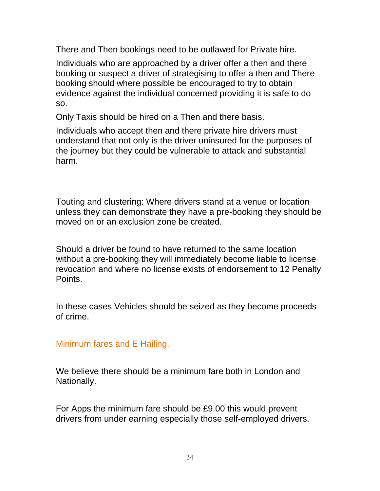There and Then bookings need to be outlawed for Private hire.

Individuals who are approached by a driver offer a then and there booking or suspect a driver of strategising to offer a then and There booking should where possible be encouraged to try to obtain evidence against the individual concerned providing it is safe to do so.

Only Taxis should be hired on a Then and there basis.

Individuals who accept then and there private hire drivers must understand that not only is the driver uninsured for the purposes of the journey but they could be vulnerable to attack and substantial harm.

Touting and clustering: Where drivers stand at a venue or location unless they can demonstrate they have a pre-booking they should be moved on or an exclusion zone be created.

Should a driver be found to have returned to the same location without a pre-booking they will immediately become liable to license revocation and where no license exists of endorsement to 12 Penalty Points.

In these cases Vehicles should be seized as they become proceeds of crime.

Minimum fares and E Hailing.

We believe there should be a minimum fare both in London and Nationally.

For Apps the minimum fare should be £9.00 this would prevent drivers from under earning especially those self-employed drivers.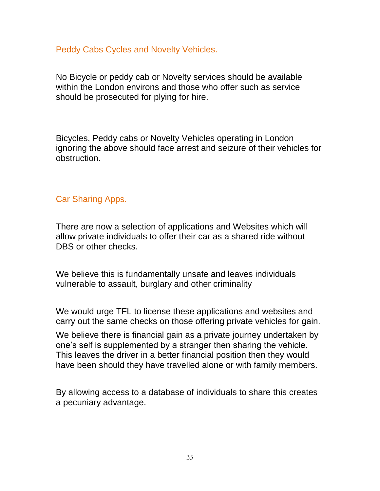#### Peddy Cabs Cycles and Novelty Vehicles.

No Bicycle or peddy cab or Novelty services should be available within the London environs and those who offer such as service should be prosecuted for plying for hire.

Bicycles, Peddy cabs or Novelty Vehicles operating in London ignoring the above should face arrest and seizure of their vehicles for obstruction.

#### Car Sharing Apps.

There are now a selection of applications and Websites which will allow private individuals to offer their car as a shared ride without DBS or other checks.

We believe this is fundamentally unsafe and leaves individuals vulnerable to assault, burglary and other criminality

We would urge TFL to license these applications and websites and carry out the same checks on those offering private vehicles for gain.

We believe there is financial gain as a private journey undertaken by one's self is supplemented by a stranger then sharing the vehicle. This leaves the driver in a better financial position then they would have been should they have travelled alone or with family members.

By allowing access to a database of individuals to share this creates a pecuniary advantage.